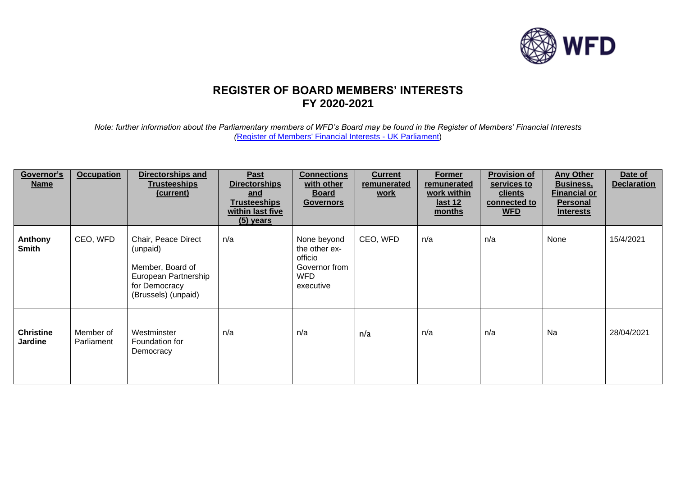

## **REGISTER OF BOARD MEMBERS' INTERESTS FY 2020-2021**

*Note: further information about the Parliamentary members of WFD's Board may be found in the Register of Members' Financial Interests (*[Register of Members' Financial Interests -](https://www.parliament.uk/mps-lords-and-offices/standards-and-financial-interests/parliamentary-commissioner-for-standards/registers-of-interests/register-of-members-financial-interests/) UK Parliament)

| Governor's<br><b>Name</b>          | <b>Occupation</b>       | <b>Directorships and</b><br><b>Trusteeships</b><br>(current)                                                        | Past<br><b>Directorships</b><br><u>and</u><br><b>Trusteeships</b><br>within last five<br>$(5)$ years | <b>Connections</b><br>with other<br><u>Board</u><br><b>Governors</b>                | <b>Current</b><br>remunerated<br><u>work</u> | <b>Former</b><br>remunerated<br>work within<br><u>last 12</u><br>months | <b>Provision of</b><br>services to<br><u>clients</u><br>connected to<br><b>WFD</b> | <b>Any Other</b><br><b>Business,</b><br><u>Financial or</u><br><b>Personal</b><br><b>Interests</b> | Date of<br><b>Declaration</b> |
|------------------------------------|-------------------------|---------------------------------------------------------------------------------------------------------------------|------------------------------------------------------------------------------------------------------|-------------------------------------------------------------------------------------|----------------------------------------------|-------------------------------------------------------------------------|------------------------------------------------------------------------------------|----------------------------------------------------------------------------------------------------|-------------------------------|
| Anthony<br><b>Smith</b>            | CEO, WFD                | Chair, Peace Direct<br>(unpaid)<br>Member, Board of<br>European Partnership<br>for Democracy<br>(Brussels) (unpaid) | n/a                                                                                                  | None beyond<br>the other ex-<br>officio<br>Governor from<br><b>WFD</b><br>executive | CEO, WFD                                     | n/a                                                                     | n/a                                                                                | None                                                                                               | 15/4/2021                     |
| <b>Christine</b><br><b>Jardine</b> | Member of<br>Parliament | Westminster<br>Foundation for<br>Democracy                                                                          | n/a                                                                                                  | n/a                                                                                 | n/a                                          | n/a                                                                     | n/a                                                                                | Na                                                                                                 | 28/04/2021                    |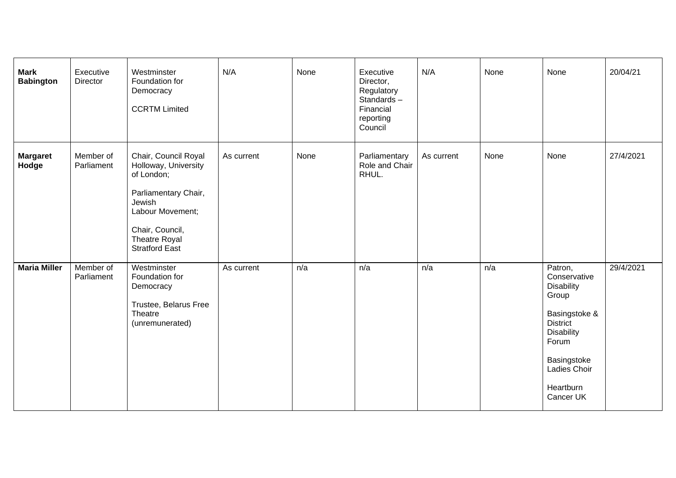| <b>Mark</b><br><b>Babington</b> | Executive<br>Director   | Westminster<br>Foundation for<br>Democracy<br><b>CCRTM Limited</b>                                                                                                            | N/A        | None | Executive<br>Director,<br>Regulatory<br>Standards-<br>Financial<br>reporting<br>Council | N/A        | None | None                                                                                                                                                                             | 20/04/21  |
|---------------------------------|-------------------------|-------------------------------------------------------------------------------------------------------------------------------------------------------------------------------|------------|------|-----------------------------------------------------------------------------------------|------------|------|----------------------------------------------------------------------------------------------------------------------------------------------------------------------------------|-----------|
| <b>Margaret</b><br>Hodge        | Member of<br>Parliament | Chair, Council Royal<br>Holloway, University<br>of London;<br>Parliamentary Chair,<br>Jewish<br>Labour Movement;<br>Chair, Council,<br>Theatre Royal<br><b>Stratford East</b> | As current | None | Parliamentary<br>Role and Chair<br>RHUL.                                                | As current | None | None                                                                                                                                                                             | 27/4/2021 |
| <b>Maria Miller</b>             | Member of<br>Parliament | Westminster<br>Foundation for<br>Democracy<br>Trustee, Belarus Free<br>Theatre<br>(unremunerated)                                                                             | As current | n/a  | n/a                                                                                     | n/a        | n/a  | Patron,<br>Conservative<br><b>Disability</b><br>Group<br>Basingstoke &<br><b>District</b><br><b>Disability</b><br>Forum<br>Basingstoke<br>Ladies Choir<br>Heartburn<br>Cancer UK | 29/4/2021 |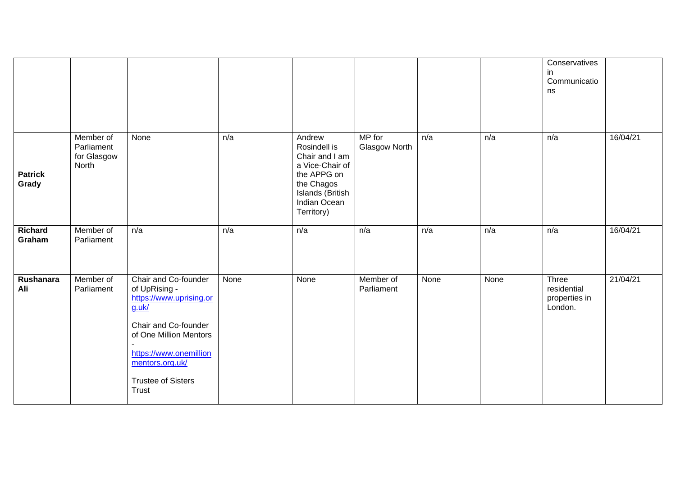|                         |                                                 |                                                                                                                                                                                                                      |      |                                                                                                                                            |                         |      |      | Conservatives<br>in.<br>Communicatio<br>ns       |          |
|-------------------------|-------------------------------------------------|----------------------------------------------------------------------------------------------------------------------------------------------------------------------------------------------------------------------|------|--------------------------------------------------------------------------------------------------------------------------------------------|-------------------------|------|------|--------------------------------------------------|----------|
| <b>Patrick</b><br>Grady | Member of<br>Parliament<br>for Glasgow<br>North | None                                                                                                                                                                                                                 | n/a  | Andrew<br>Rosindell is<br>Chair and I am<br>a Vice-Chair of<br>the APPG on<br>the Chagos<br>Islands (British<br>Indian Ocean<br>Territory) | MP for<br>Glasgow North | n/a  | n/a  | n/a                                              | 16/04/21 |
| Richard<br>Graham       | Member of<br>Parliament                         | n/a                                                                                                                                                                                                                  | n/a  | n/a                                                                                                                                        | n/a                     | n/a  | n/a  | n/a                                              | 16/04/21 |
| Rushanara<br>Ali        | Member of<br>Parliament                         | Chair and Co-founder<br>of UpRising -<br>https://www.uprising.or<br>$g.$ uk $/$<br>Chair and Co-founder<br>of One Million Mentors<br>https://www.onemillion<br>mentors.org.uk/<br><b>Trustee of Sisters</b><br>Trust | None | None                                                                                                                                       | Member of<br>Parliament | None | None | Three<br>residential<br>properties in<br>London. | 21/04/21 |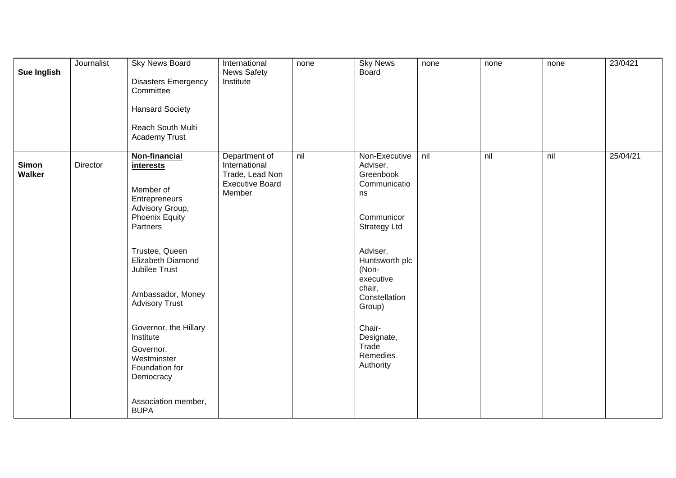| <b>Sue Inglish</b> | Journalist | Sky News Board<br><b>Disasters Emergency</b><br>Committee<br><b>Hansard Society</b><br>Reach South Multi<br><b>Academy Trust</b>                                                                                                                                                                                                                                            | International<br><b>News Safety</b><br>Institute                                      | none | <b>Sky News</b><br><b>Board</b>                                                                                                                                                                                                                      | none | none | none | 23/0421  |
|--------------------|------------|-----------------------------------------------------------------------------------------------------------------------------------------------------------------------------------------------------------------------------------------------------------------------------------------------------------------------------------------------------------------------------|---------------------------------------------------------------------------------------|------|------------------------------------------------------------------------------------------------------------------------------------------------------------------------------------------------------------------------------------------------------|------|------|------|----------|
| Simon<br>Walker    | Director   | <b>Non-financial</b><br><i>interests</i><br>Member of<br>Entrepreneurs<br>Advisory Group,<br><b>Phoenix Equity</b><br>Partners<br>Trustee, Queen<br>Elizabeth Diamond<br>Jubilee Trust<br>Ambassador, Money<br><b>Advisory Trust</b><br>Governor, the Hillary<br>Institute<br>Governor,<br>Westminster<br>Foundation for<br>Democracy<br>Association member,<br><b>BUPA</b> | Department of<br>International<br>Trade, Lead Non<br><b>Executive Board</b><br>Member | nil  | Non-Executive<br>Adviser,<br>Greenbook<br>Communicatio<br>ns<br>Communicor<br><b>Strategy Ltd</b><br>Adviser,<br>Huntsworth plc<br>(Non-<br>executive<br>chair,<br>Constellation<br>Group)<br>Chair-<br>Designate,<br>Trade<br>Remedies<br>Authority | nil  | nil  | nil  | 25/04/21 |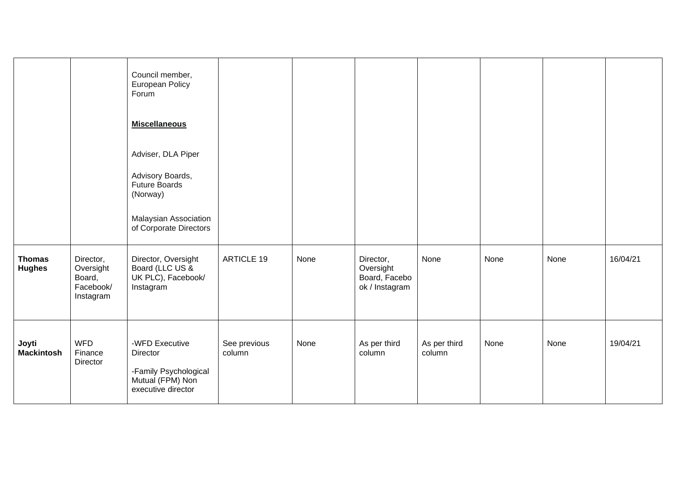|                                |                                                            | Council member,<br>European Policy<br>Forum<br><b>Miscellaneous</b><br>Adviser, DLA Piper<br>Advisory Boards,<br><b>Future Boards</b><br>(Norway)<br>Malaysian Association<br>of Corporate Directors |                        |      |                                                           |                        |      |      |          |
|--------------------------------|------------------------------------------------------------|------------------------------------------------------------------------------------------------------------------------------------------------------------------------------------------------------|------------------------|------|-----------------------------------------------------------|------------------------|------|------|----------|
| <b>Thomas</b><br><b>Hughes</b> | Director,<br>Oversight<br>Board,<br>Facebook/<br>Instagram | Director, Oversight<br>Board (LLC US &<br>UK PLC), Facebook/<br>Instagram                                                                                                                            | <b>ARTICLE 19</b>      | None | Director,<br>Oversight<br>Board, Facebo<br>ok / Instagram | None                   | None | None | 16/04/21 |
| Joyti<br><b>Mackintosh</b>     | <b>WFD</b><br>Finance<br>Director                          | -WFD Executive<br>Director<br>-Family Psychological<br>Mutual (FPM) Non<br>executive director                                                                                                        | See previous<br>column | None | As per third<br>column                                    | As per third<br>column | None | None | 19/04/21 |